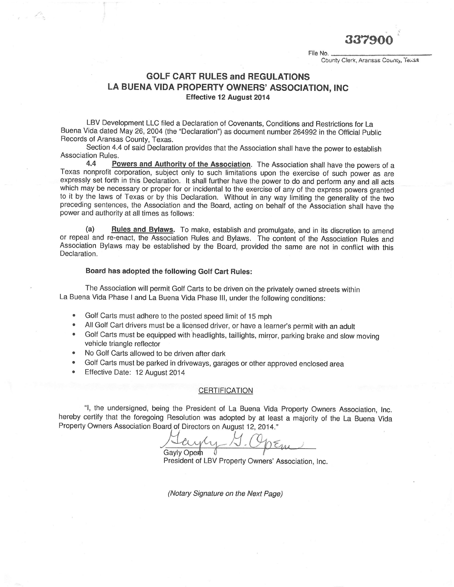337900

File No. County Clerk, Aransas County, Texas

## GOLF CART RULES and REGULATIONS LA BUENA VIDA PROPERTY OWNERS' ASSOCIATION, INC Effective 12 August 2014

LBV Development LLC filed a Declaration of Covenants, Conditions and Restrictions for La Buena Vida dated May 26, 2004 (the "Declaration") as document number 264992 in the Official public Records of Aransas County, Texas.

Section 4.4 of said Declaration provides that the Association shall have the power to establish Association Rules.<br>4.4 Po

Powers and Authority of the Association. The Association shall have the powers of a Texas nonprofit corporation, subject only to such limitations upon the exercise of such power as are expressly set forth in this Declaration. lt shall further have the power to do and perform any and all acts which may be necessary or proper for or incidental to the exercise of any of the express powers granted to it by the laws of Texas or by this Declaration. Without in any way limiting the generality of the two preceding sentences, the Association and the Board, acting on behalf of the Association shall have the power and authority at all times as follows:

(a) Rules and Bylaws. To make, establish and promulgate, and in its discretion to amend or repeal and re-enact, the Association Rules and Bylaws. The content of the Association Rules and Association Bylaws may be established by the Board, provided the same are not in conflict with this Declaration.

## Board has adopted the following Golf Cart Rules:

The Association will permit Golf Carts to be driven on the privately owned streets within La Buena Vida Phase I and La Buena Vida Phase lll, under the following conditions:

- . Golf Carts must adhere to the posted speed limit of 15 mph
- All Golf Cart drivers must be a licensed driver, or have a learner's permit with an adult <br>• Golf Carts must be equipped with beadlights, taillights, mixer, perkins brake and alow
- Golf Carts must be equipped with headlights, taillights, mirror, parking brake and slow moving vehicle triangle reflector
- No Golf Carts allowed to be driven after dark
- Golf Carts must be parked in driveways, garages or other approved enclosed area
- Effective Date: 12 August 2014

## CERTIFICATION

"1, the undersigned, being the President of La Buena Vida Property Owners Association, Inc. hereby certify that the foregoing Resolution was adopted by at least a majority of the La Buena Vida<br>Property Owners Association Board of Directors on August 12, 2014."

**Gavly Opem** 

President of LBV Property Owners'Association, lnc.

(Notary Signature on the Next Page)